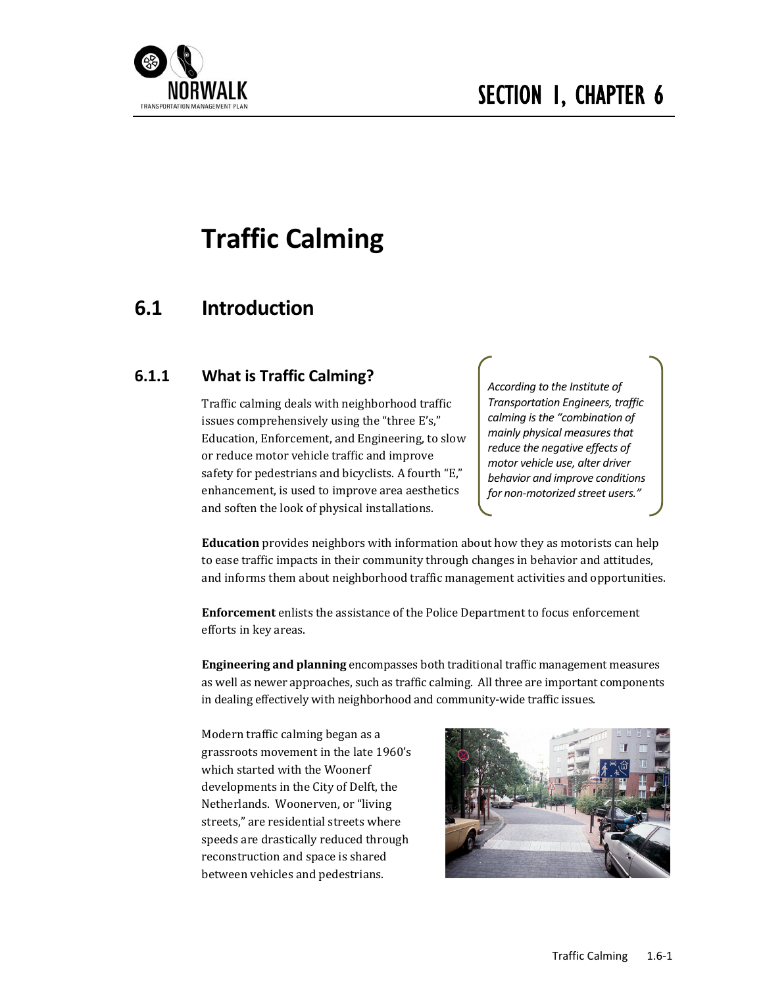

# **Traffic Calming**

# **6.1 Introduction**

# **6.1.1 What is Traffic Calming?**

Traffic calming deals with neighborhood traffic issues comprehensively using the "three E's," Education, Enforcement, and Engineering, to slow or reduce motor vehicle traffic and improve safety for pedestrians and bicyclists. A fourth "E," enhancement, is used to improve area aesthetics and soften the look of physical installations.

*According to the Institute of Transportation Engineers, traffic calming isthe "combination of mainly physical measuresthat reduce the negative effects of motor vehicle use, alter driver behavior and improve conditions for non‐motorized street users."*

**Education** provides neighbors with information about how they as motorists can help to ease traffic impacts in their community through changes in behavior and attitudes, and informs them about neighborhood traffic management activities and opportunities.

**Enforcement** enlists the assistance of the Police Department to focus enforcement efforts in key areas.

**Engineering and planning** encompasses both traditional traffic management measures as well as newer approaches, such as traffic calming. All three are important components in dealing effectively with neighborhood and community-wide traffic issues.

Modern traffic calming began as a grassroots movement in the late 1960's which started with the Woonerf developments in the City of Delft, the Netherlands. Woonerven, or "living streets," are residential streets where speeds are drastically reduced through reconstruction and space is shared between vehicles and pedestrians.

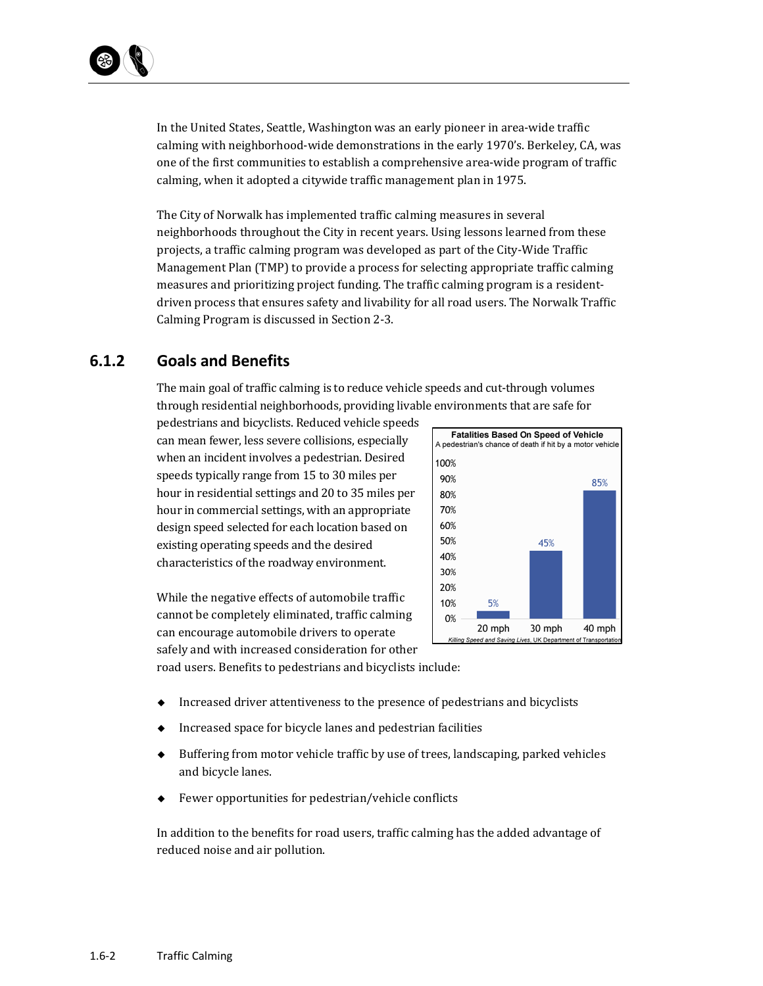In the United States, Seattle, Washington was an early pioneer in area-wide traffic calming with neighborhood-wide demonstrations in the early 1970's. Berkeley, CA, was one of the first communities to establish a comprehensive area-wide program of traffic calming, when it adopted a citywide traffic management plan in 1975.

The City of Norwalk has implemented traffic calming measures in several neighborhoods throughout the City in recent years. Using lessons learned from these projects, a traffic calming program was developed as part of the City-Wide Traffic Management Plan (TMP) to provide a process for selecting appropriate traffic calming measures and prioritizing project funding. The traffic calming program is a residentdriven process that ensures safety and livability for all road users. The Norwalk Traffic Calming Program is discussed in Section 2-3.

# **6.1.2 Goals and Benefits**

The main goal of traffic calming is to reduce vehicle speeds and cut-through volumes through residential neighborhoods, providing livable environments that are safe for

pedestrians and bicyclists. Reduced vehicle speeds can mean fewer, less severe collisions, especially when an incident involves a pedestrian. Desired speeds typically range from 15 to 30 miles per hour in residential settings and 20 to 35 miles per hour in commercial settings, with an appropriate design speed selected for each location based on existing operating speeds and the desired characteristics of the roadway environment.



While the negative effects of automobile traffic cannot be completely eliminated, traffic calming can encourage automobile drivers to operate safely and with increased consideration for other road users. Benefits to pedestrians and bicyclists include:

- $\bullet$  Increased driver attentiveness to the presence of pedestrians and bicyclists
- Increased space for bicycle lanes and pedestrian facilities
- $\blacklozenge$  Buffering from motor vehicle traffic by use of trees, landscaping, parked vehicles and bicycle lanes.
- Fewer opportunities for pedestrian/vehicle conflicts

In addition to the benefits for road users, traffic calming has the added advantage of reduced noise and air pollution.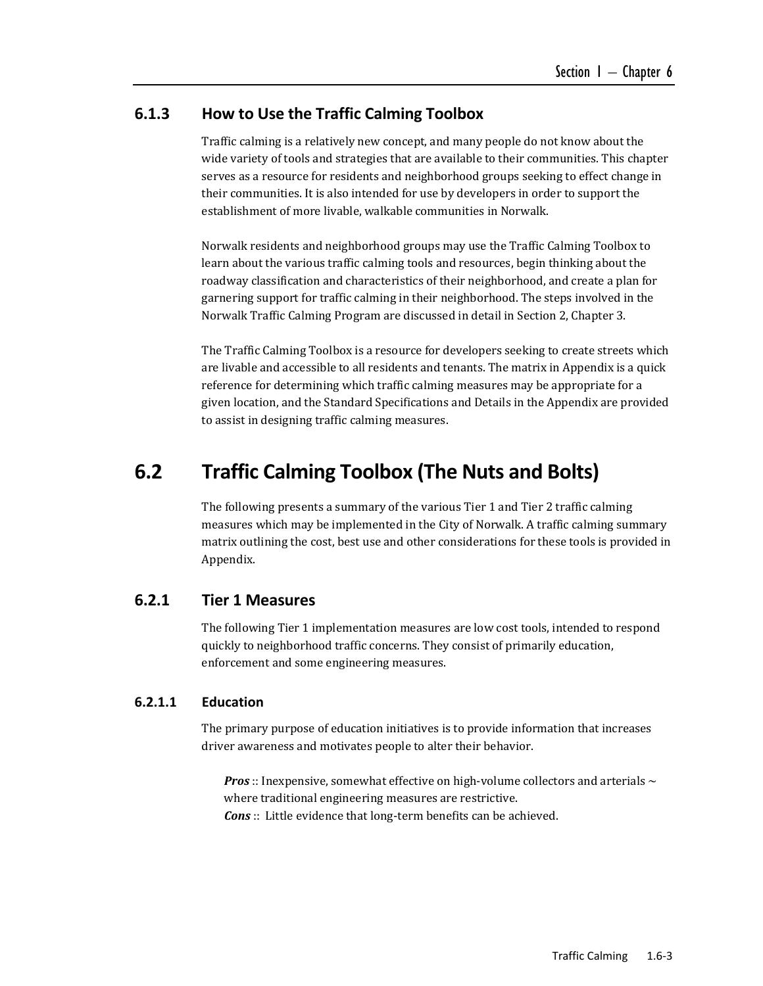# **6.1.3 How to Use the Traffic Calming Toolbox**

Traffic calming is a relatively new concept, and many people do not know about the wide variety of tools and strategies that are available to their communities. This chapter serves as a resource for residents and neighborhood groups seeking to effect change in their communities. It is also intended for use by developers in order to support the establishment of more livable, walkable communities in Norwalk.

Norwalk residents and neighborhood groups may use the Traffic Calming Toolbox to learn about the various traffic calming tools and resources, begin thinking about the roadway classification and characteristics of their neighborhood, and create a plan for garnering support for traffic calming in their neighborhood. The steps involved in the Norwalk Traffic Calming Program are discussed in detail in Section 2, Chapter 3.

The Traffic Calming Toolbox is a resource for developers seeking to create streets which are livable and accessible to all residents and tenants. The matrix in Appendix is a quick reference for determining which traffic calming measures may be appropriate for a given location, and the Standard Specifications and Details in the Appendix are provided to assist in designing traffic calming measures.

# **6.2 Traffic Calming Toolbox (The Nuts and Bolts)**

The following presents a summary of the various Tier 1 and Tier 2 traffic calming measures which may be implemented in the City of Norwalk. A traffic calming summary matrix outlining the cost, best use and other considerations for these tools is provided in Appendix. 

# **6.2.1 Tier 1 Measures**

The following Tier 1 implementation measures are low cost tools, intended to respond quickly to neighborhood traffic concerns. They consist of primarily education, enforcement and some engineering measures.

#### **6.2.1.1 Education**

The primary purpose of education initiatives is to provide information that increases driver awareness and motivates people to alter their behavior.

**Pros**:: Inexpensive, somewhat effective on high-volume collectors and arterials  $\sim$ where traditional engineering measures are restrictive. **Cons**:: Little evidence that long-term benefits can be achieved.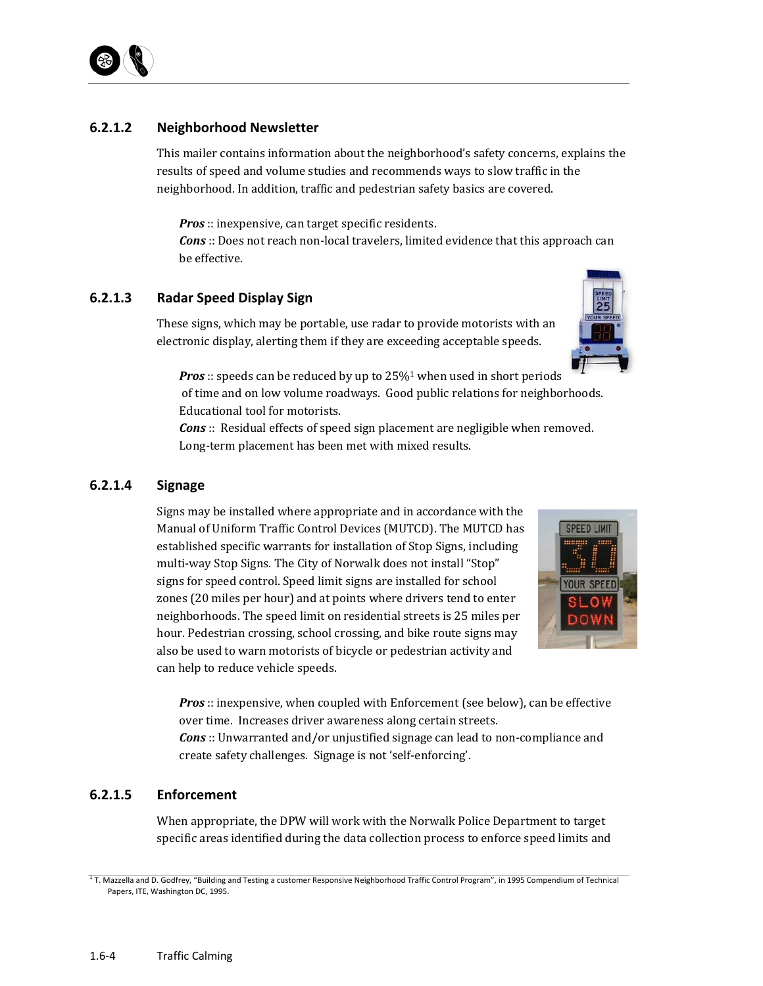

# **6.2.1.2 Neighborhood Newsletter**

This mailer contains information about the neighborhood's safety concerns, explains the results of speed and volume studies and recommends ways to slow traffic in the neighborhood. In addition, traffic and pedestrian safety basics are covered.

*Pros*:: inexpensive, can target specific residents.

*Cons*:: Does not reach non-local travelers, limited evidence that this approach can be effective.

# **6.2.1.3 Radar Speed Display Sign**

These signs, which may be portable, use radar to provide motorists with an electronic display, alerting them if they are exceeding acceptable speeds.



*Pros*:: speeds can be reduced by up to 25%<sup>1</sup> when used in short periods of time and on low volume roadways. Good public relations for neighborhoods.

Educational tool for motorists.

*Cons*:: Residual effects of speed sign placement are negligible when removed. Long-term placement has been met with mixed results.

# **6.2.1.4 Signage**

Signs may be installed where appropriate and in accordance with the Manual of Uniform Traffic Control Devices (MUTCD). The MUTCD has established specific warrants for installation of Stop Signs, including multi-way Stop Signs. The City of Norwalk does not install "Stop" signs for speed control. Speed limit signs are installed for school zones (20 miles per hour) and at points where drivers tend to enter neighborhoods. The speed limit on residential streets is 25 miles per hour. Pedestrian crossing, school crossing, and bike route signs may also be used to warn motorists of bicycle or pedestrian activity and can help to reduce vehicle speeds.



*Pros*:: inexpensive, when coupled with Enforcement (see below), can be effective over time. Increases driver awareness along certain streets. *Cons*:: Unwarranted and/or unjustified signage can lead to non-compliance and create safety challenges. Signage is not 'self-enforcing'.

# **6.2.1.5 Enforcement**

When appropriate, the DPW will work with the Norwalk Police Department to target specific areas identified during the data collection process to enforce speed limits and

<sup>1</sup> T. Mazzella and D. Godfrey, "Building and Testing a customer Responsive Neighborhood Traffic Control Program", in 1995 Compendium of Technical Papers, ITE, Washington DC, 1995.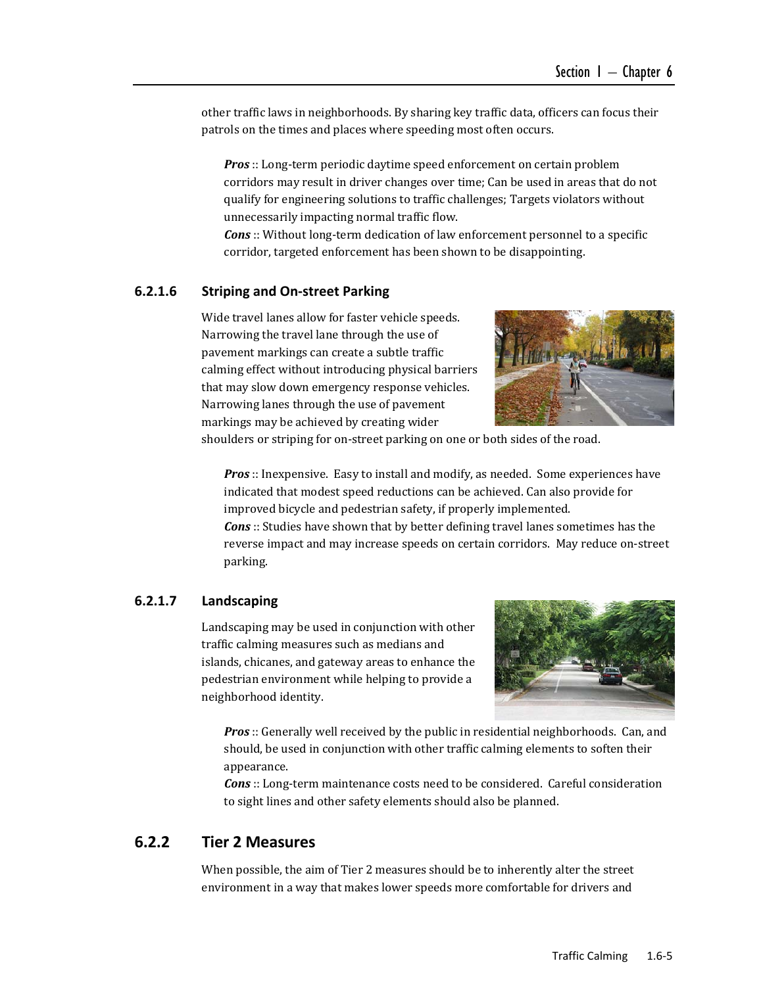other traffic laws in neighborhoods. By sharing key traffic data, officers can focus their patrols on the times and places where speeding most often occurs.

**Pros**:: Long-term periodic daytime speed enforcement on certain problem corridors may result in driver changes over time; Can be used in areas that do not qualify for engineering solutions to traffic challenges; Targets violators without unnecessarily impacting normal traffic flow.

*Cons*:: Without long-term dedication of law enforcement personnel to a specific corridor, targeted enforcement has been shown to be disappointing.

#### **6.2.1.6 Striping and On‐street Parking**

Wide travel lanes allow for faster vehicle speeds. Narrowing the travel lane through the use of pavement markings can create a subtle traffic calming effect without introducing physical barriers that may slow down emergency response vehicles. Narrowing lanes through the use of pavement markings may be achieved by creating wider



shoulders or striping for on-street parking on one or both sides of the road.

*Pros*:: Inexpensive. Easy to install and modify, as needed. Some experiences have indicated that modest speed reductions can be achieved. Can also provide for improved bicycle and pedestrian safety, if properly implemented. **Cons**:: Studies have shown that by better defining travel lanes sometimes has the reverse impact and may increase speeds on certain corridors. May reduce on-street parking. 

#### **6.2.1.7 Landscaping**

Landscaping may be used in conjunction with other traffic calming measures such as medians and islands, chicanes, and gateway areas to enhance the pedestrian environment while helping to provide a neighborhood identity.



**Pros**:: Generally well received by the public in residential neighborhoods. Can, and should, be used in conjunction with other traffic calming elements to soften their appearance. 

*Cons*:: Long-term maintenance costs need to be considered. Careful consideration to sight lines and other safety elements should also be planned.

# **6.2.2 Tier 2 Measures**

When possible, the aim of Tier 2 measures should be to inherently alter the street environment in a way that makes lower speeds more comfortable for drivers and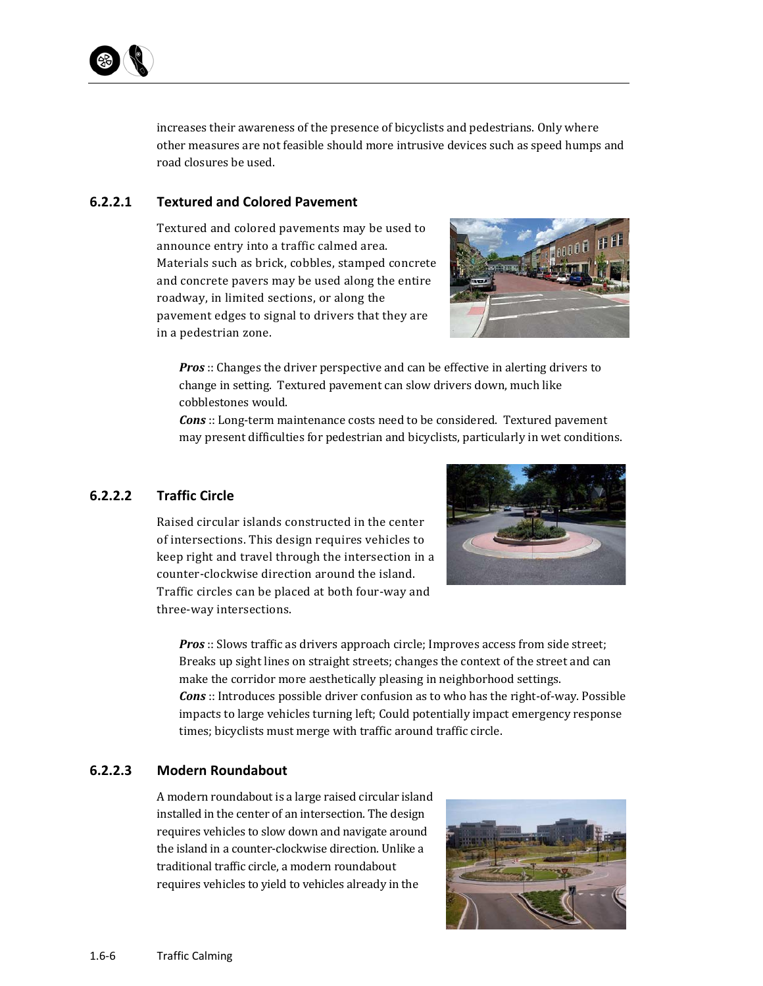

increases their awareness of the presence of bicyclists and pedestrians. Only where other measures are not feasible should more intrusive devices such as speed humps and road closures be used.

### **6.2.2.1 Textured and Colored Pavement**

Textured and colored pavements may be used to announce entry into a traffic calmed area. Materials such as brick, cobbles, stamped concrete and concrete pavers may be used along the entire roadway, in limited sections, or along the pavement edges to signal to drivers that they are in a pedestrian zone.



*Pros*:: Changes the driver perspective and can be effective in alerting drivers to change in setting. Textured pavement can slow drivers down, much like cobblestones would.

*Cons*:: Long-term maintenance costs need to be considered. Textured pavement may present difficulties for pedestrian and bicyclists, particularly in wet conditions.

# **6.2.2.2 Traffic Circle**

Raised circular islands constructed in the center of intersections. This design requires vehicles to keep right and travel through the intersection in a counter-clockwise direction around the island. Traffic circles can be placed at both four-way and three-way intersections.



*Pros*:: Slows traffic as drivers approach circle; Improves access from side street; Breaks up sight lines on straight streets; changes the context of the street and can make the corridor more aesthetically pleasing in neighborhood settings. **Cons**:: Introduces possible driver confusion as to who has the right-of-way. Possible impacts to large vehicles turning left; Could potentially impact emergency response times; bicyclists must merge with traffic around traffic circle.

# **6.2.2.3 Modern Roundabout**

A modern roundabout is a large raised circular island installed in the center of an intersection. The design requires vehicles to slow down and navigate around the island in a counter-clockwise direction. Unlike a traditional traffic circle, a modern roundabout requires vehicles to yield to vehicles already in the

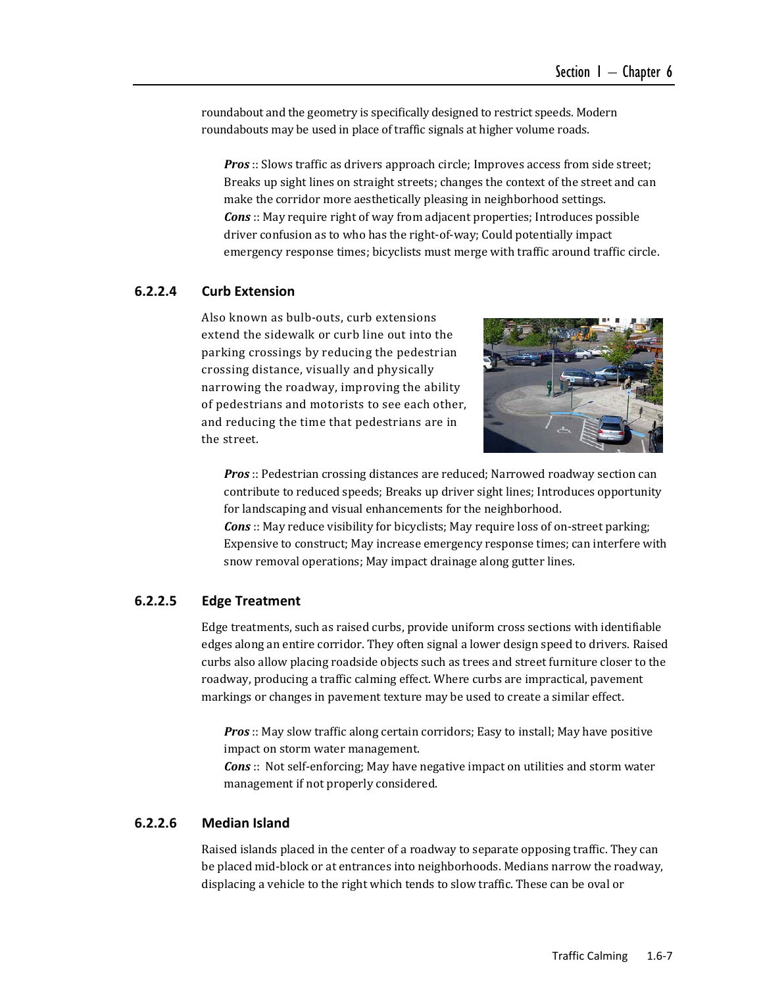roundabout and the geometry is specifically designed to restrict speeds. Modern roundabouts may be used in place of traffic signals at higher volume roads.

**Pros**:: Slows traffic as drivers approach circle; Improves access from side street; Breaks up sight lines on straight streets; changes the context of the street and can make the corridor more aesthetically pleasing in neighborhood settings. *Cons*:: May require right of way from adjacent properties; Introduces possible driver confusion as to who has the right-of-way; Could potentially impact emergency response times; bicyclists must merge with traffic around traffic circle.

# **6.2.2.4 Curb Extension**

Also known as bulb-outs, curb extensions extend the sidewalk or curb line out into the parking crossings by reducing the pedestrian crossing distance, visually and physically narrowing the roadway, improving the ability of pedestrians and motorists to see each other, and reducing the time that pedestrians are in the street.



*Pros*:: Pedestrian crossing distances are reduced; Narrowed roadway section can contribute to reduced speeds; Breaks up driver sight lines; Introduces opportunity for landscaping and visual enhancements for the neighborhood.

**Cons** :: May reduce visibility for bicyclists; May require loss of on-street parking; Expensive to construct; May increase emergency response times; can interfere with snow removal operations; May impact drainage along gutter lines.

#### **6.2.2.5 Edge Treatment**

Edge treatments, such as raised curbs, provide uniform cross sections with identifiable edges along an entire corridor. They often signal a lower design speed to drivers. Raised curbs also allow placing roadside objects such as trees and street furniture closer to the roadway, producing a traffic calming effect. Where curbs are impractical, pavement markings or changes in pavement texture may be used to create a similar effect.

**Pros**:: May slow traffic along certain corridors; Easy to install; May have positive impact on storm water management.

**Cons** :: Not self-enforcing; May have negative impact on utilities and storm water management if not properly considered.

#### **6.2.2.6 Median Island**

Raised islands placed in the center of a roadway to separate opposing traffic. They can be placed mid-block or at entrances into neighborhoods. Medians narrow the roadway, displacing a vehicle to the right which tends to slow traffic. These can be oval or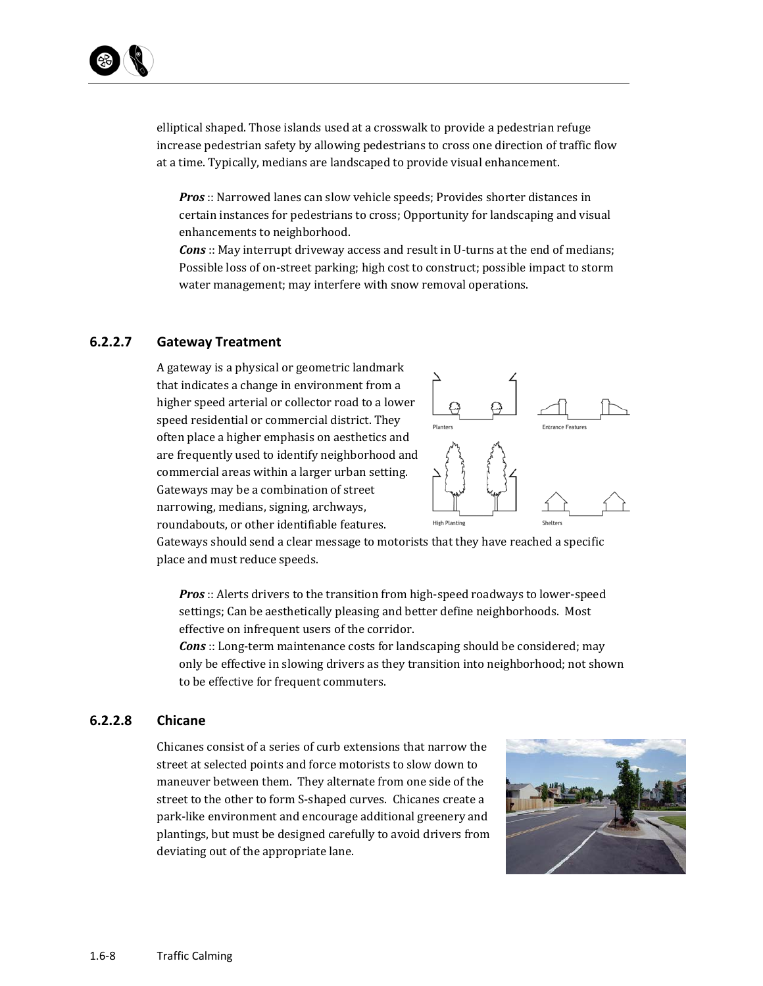elliptical shaped. Those islands used at a crosswalk to provide a pedestrian refuge increase pedestrian safety by allowing pedestrians to cross one direction of traffic flow at a time. Typically, medians are landscaped to provide visual enhancement.

**Pros**:: Narrowed lanes can slow vehicle speeds; Provides shorter distances in certain instances for pedestrians to cross; Opportunity for landscaping and visual enhancements to neighborhood.

*Cons*:: May interrupt driveway access and result in U-turns at the end of medians; Possible loss of on-street parking; high cost to construct; possible impact to storm water management; may interfere with snow removal operations.

### **6.2.2.7 Gateway Treatment**

A gateway is a physical or geometric landmark that indicates a change in environment from a higher speed arterial or collector road to a lower speed residential or commercial district. They often place a higher emphasis on aesthetics and are frequently used to identify neighborhood and commercial areas within a larger urban setting. Gateways may be a combination of street narrowing, medians, signing, archways, roundabouts, or other identifiable features.



Gateways should send a clear message to motorists that they have reached a specific place and must reduce speeds.

*Pros*:: Alerts drivers to the transition from high-speed roadways to lower-speed settings; Can be aesthetically pleasing and better define neighborhoods. Most effective on infrequent users of the corridor.

*Cons*:: Long-term maintenance costs for landscaping should be considered; may only be effective in slowing drivers as they transition into neighborhood; not shown to be effective for frequent commuters.

#### **6.2.2.8 Chicane**

Chicanes consist of a series of curb extensions that narrow the street at selected points and force motorists to slow down to maneuver between them. They alternate from one side of the street to the other to form S-shaped curves. Chicanes create a park-like environment and encourage additional greenery and plantings, but must be designed carefully to avoid drivers from deviating out of the appropriate lane.

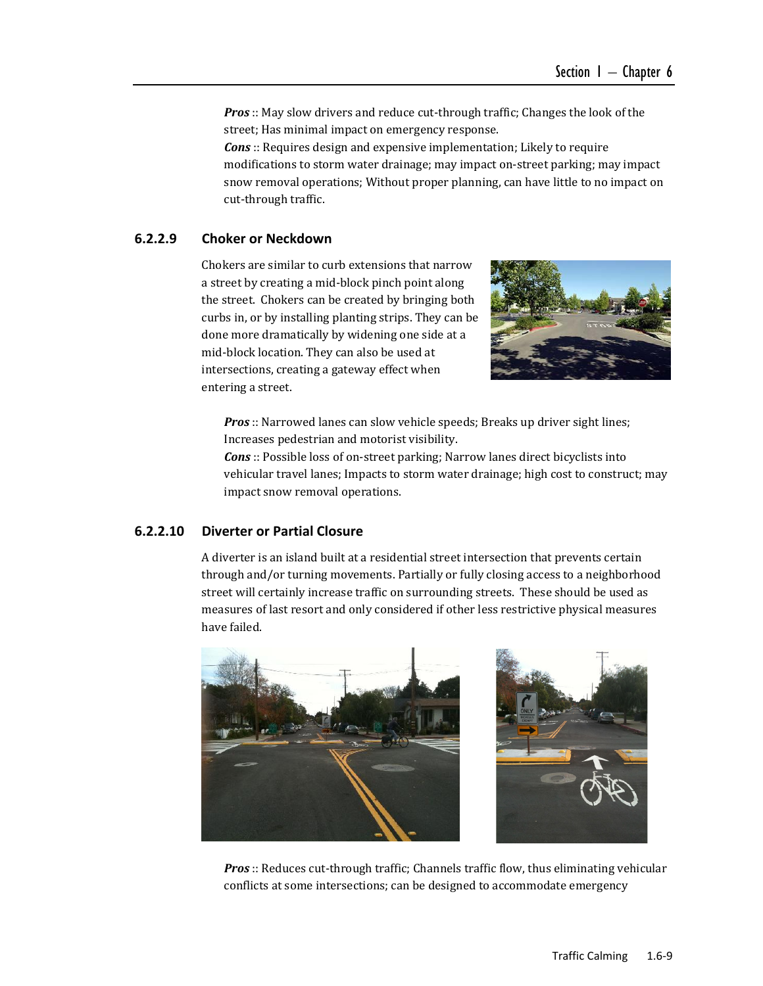**Pros**:: May slow drivers and reduce cut-through traffic; Changes the look of the street; Has minimal impact on emergency response.

*Cons*:: Requires design and expensive implementation; Likely to require modifications to storm water drainage; may impact on-street parking; may impact snow removal operations; Without proper planning, can have little to no impact on cut-through traffic.

#### **6.2.2.9 Choker or Neckdown**

Chokers are similar to curb extensions that narrow a street by creating a mid-block pinch point along the street. Chokers can be created by bringing both curbs in, or by installing planting strips. They can be done more dramatically by widening one side at a mid-block location. They can also be used at intersections, creating a gateway effect when entering a street.



*Pros*:: Narrowed lanes can slow vehicle speeds; Breaks up driver sight lines; Increases pedestrian and motorist visibility.

*Cons*:: Possible loss of on-street parking; Narrow lanes direct bicyclists into vehicular travel lanes; Impacts to storm water drainage; high cost to construct; may impact snow removal operations.

#### **6.2.2.10 Diverter or Partial Closure**

A diverter is an island built at a residential street intersection that prevents certain through and/or turning movements. Partially or fully closing access to a neighborhood street will certainly increase traffic on surrounding streets. These should be used as measures of last resort and only considered if other less restrictive physical measures have failed.



*Pros*:: Reduces cut-through traffic; Channels traffic flow, thus eliminating vehicular conflicts at some intersections; can be designed to accommodate emergency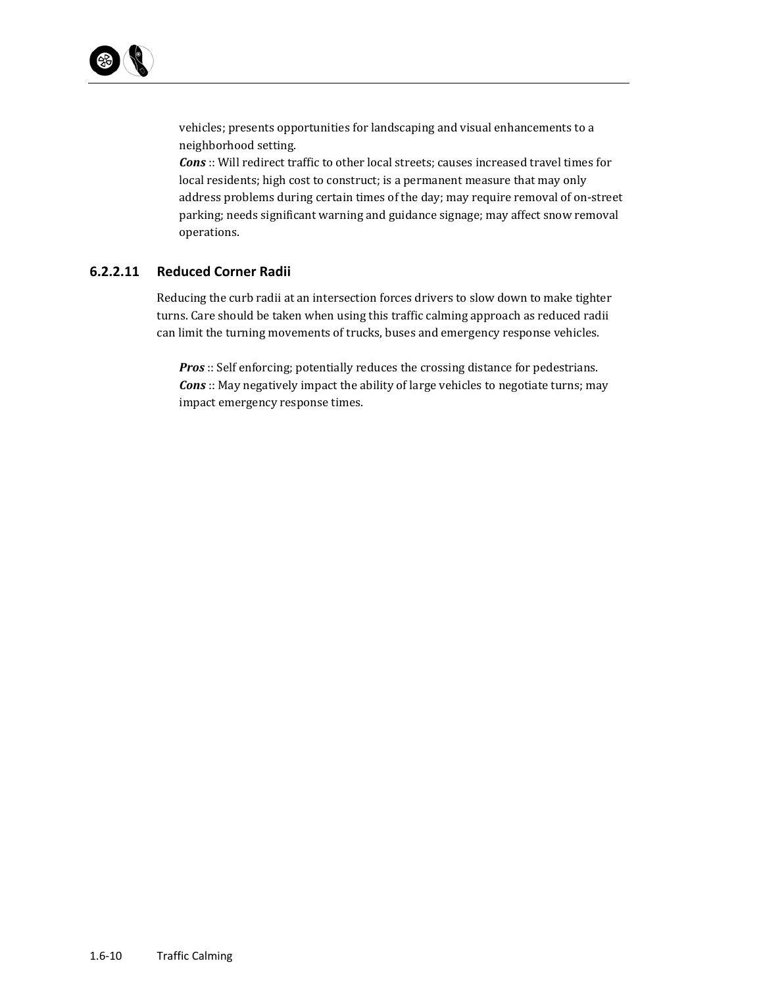

vehicles; presents opportunities for landscaping and visual enhancements to a neighborhood setting. 

**Cons**:: Will redirect traffic to other local streets; causes increased travel times for local residents; high cost to construct; is a permanent measure that may only address problems during certain times of the day; may require removal of on-street parking; needs significant warning and guidance signage; may affect snow removal operations. 

#### **6.2.2.11 Reduced Corner Radii**

Reducing the curb radii at an intersection forces drivers to slow down to make tighter turns. Care should be taken when using this traffic calming approach as reduced radii can limit the turning movements of trucks, buses and emergency response vehicles.

*Pros*:: Self enforcing; potentially reduces the crossing distance for pedestrians. **Cons** :: May negatively impact the ability of large vehicles to negotiate turns; may impact emergency response times.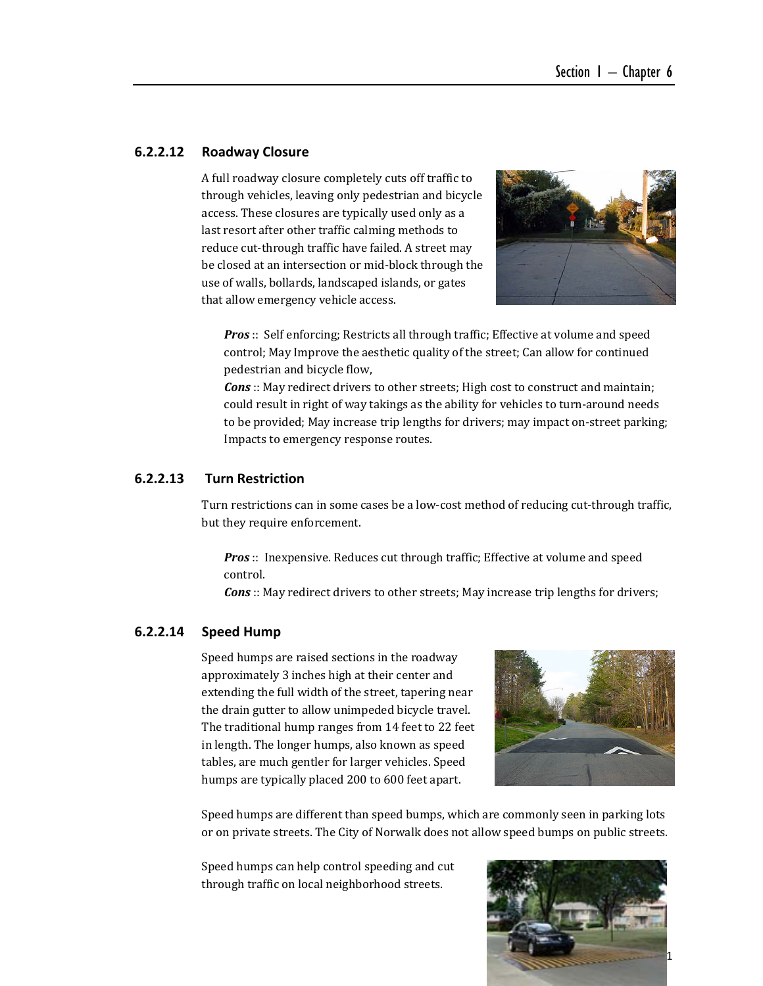#### **6.2.2.12 Roadway Closure**

A full roadway closure completely cuts off traffic to through vehicles, leaving only pedestrian and bicycle access. These closures are typically used only as a last resort after other traffic calming methods to reduce cut-through traffic have failed. A street may be closed at an intersection or mid-block through the use of walls, bollards, landscaped islands, or gates that allow emergency vehicle access.



**Pros**:: Self enforcing; Restricts all through traffic; Effective at volume and speed control; May Improve the aesthetic quality of the street; Can allow for continued pedestrian and bicycle flow,

*Cons*:: May redirect drivers to other streets; High cost to construct and maintain; could result in right of way takings as the ability for vehicles to turn-around needs to be provided; May increase trip lengths for drivers; may impact on-street parking; Impacts to emergency response routes.

#### **6.2.2.13 Turn Restriction**

Turn restrictions can in some cases be a low-cost method of reducing cut-through traffic, but they require enforcement.

*Pros*:: Inexpensive. Reduces cut through traffic; Effective at volume and speed control. 

**Cons**:: May redirect drivers to other streets; May increase trip lengths for drivers;

#### **6.2.2.14 Speed Hump**

Speed humps are raised sections in the roadway approximately 3 inches high at their center and extending the full width of the street, tapering near the drain gutter to allow unimpeded bicycle travel. The traditional hump ranges from 14 feet to 22 feet in length. The longer humps, also known as speed tables, are much gentler for larger vehicles. Speed humps are typically placed 200 to 600 feet apart.



Speed humps are different than speed bumps, which are commonly seen in parking lots or on private streets. The City of Norwalk does not allow speed bumps on public streets.

Speed humps can help control speeding and cut through traffic on local neighborhood streets.

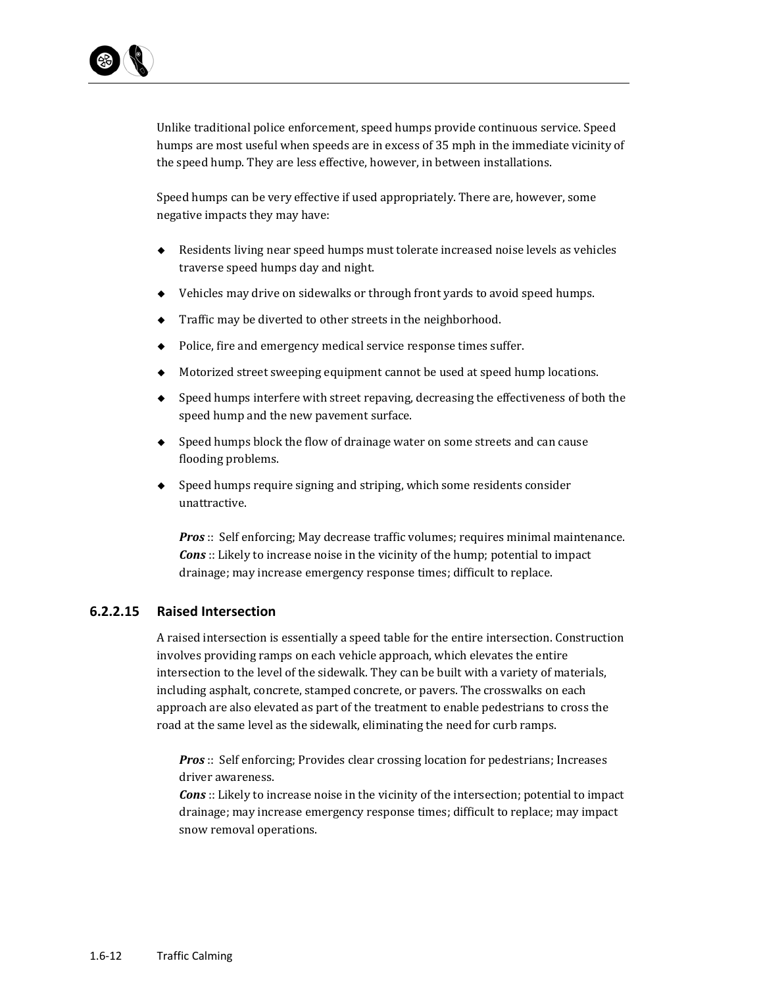

Unlike traditional police enforcement, speed humps provide continuous service. Speed humps are most useful when speeds are in excess of 35 mph in the immediate vicinity of the speed hump. They are less effective, however, in between installations.

Speed humps can be very effective if used appropriately. There are, however, some negative impacts they may have:

- $\blacklozenge$  Residents living near speed humps must tolerate increased noise levels as vehicles traverse speed humps day and night.
- $\blacklozenge$  Vehicles may drive on sidewalks or through front yards to avoid speed humps.
- $\blacklozenge$  Traffic may be diverted to other streets in the neighborhood.
- $\blacklozenge$  Police, fire and emergency medical service response times suffer.
- $\blacklozenge$  Motorized street sweeping equipment cannot be used at speed hump locations.
- $\bullet$  Speed humps interfere with street repaving, decreasing the effectiveness of both the speed hump and the new pavement surface.
- $\bullet$  Speed humps block the flow of drainage water on some streets and can cause flooding problems.
- $\bullet$  Speed humps require signing and striping, which some residents consider unattractive.

*Pros*:: Self enforcing; May decrease traffic volumes; requires minimal maintenance. *Cons*:: Likely to increase noise in the vicinity of the hump; potential to impact drainage; may increase emergency response times; difficult to replace.

#### **6.2.2.15 Raised Intersection**

A raised intersection is essentially a speed table for the entire intersection. Construction involves providing ramps on each vehicle approach, which elevates the entire intersection to the level of the sidewalk. They can be built with a variety of materials, including asphalt, concrete, stamped concrete, or pavers. The crosswalks on each approach are also elevated as part of the treatment to enable pedestrians to cross the road at the same level as the sidewalk, eliminating the need for curb ramps.

**Pros**:: Self enforcing; Provides clear crossing location for pedestrians; Increases driver awareness.

**Cons**: Likely to increase noise in the vicinity of the intersection; potential to impact drainage; may increase emergency response times; difficult to replace; may impact snow removal operations.